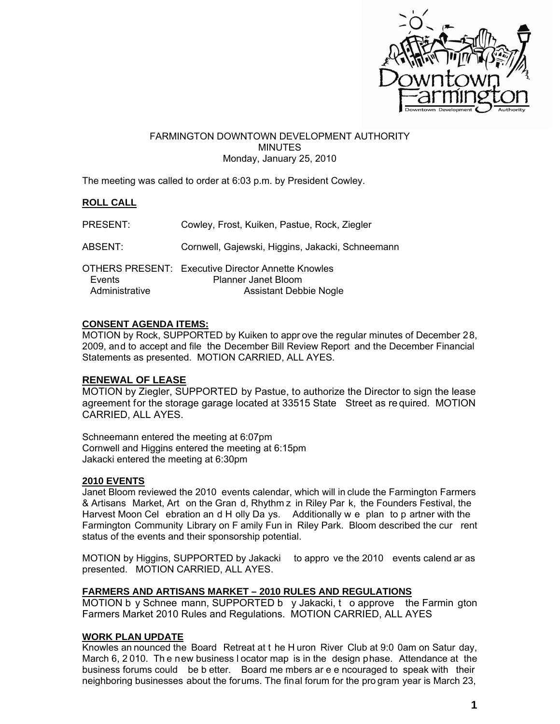

#### FARMINGTON DOWNTOWN DEVELOPMENT AUTHORITY **MINUTES** Monday, January 25, 2010

The meeting was called to order at 6:03 p.m. by President Cowley.

# **ROLL CALL**

| PRESENT:                 | Cowley, Frost, Kuiken, Pastue, Rock, Ziegler                                                                      |
|--------------------------|-------------------------------------------------------------------------------------------------------------------|
| ABSENT:                  | Cornwell, Gajewski, Higgins, Jakacki, Schneemann                                                                  |
| Events<br>Administrative | <b>OTHERS PRESENT: Executive Director Annette Knowles</b><br>Planner Janet Bloom<br><b>Assistant Debbie Nogle</b> |

### **CONSENT AGENDA ITEMS:**

MOTION by Rock, SUPPORTED by Kuiken to appr ove the regular minutes of December 28, 2009, and to accept and file the December Bill Review Report and the December Financial Statements as presented. MOTION CARRIED, ALL AYES.

### **RENEWAL OF LEASE**

MOTION by Ziegler, SUPPORTED by Pastue, to authorize the Director to sign the lease agreement for the storage garage located at 33515 State Street as re quired. MOTION CARRIED, ALL AYES.

Schneemann entered the meeting at 6:07pm Cornwell and Higgins entered the meeting at 6:15pm Jakacki entered the meeting at 6:30pm

### **2010 EVENTS**

Janet Bloom reviewed the 2010 events calendar, which will in clude the Farmington Farmers & Artisans Market, Art on the Gran d, Rhythm z in Riley Par k, the Founders Festival, the Harvest Moon Cel ebration an d H olly Da ys. Additionally w e plan to p artner with the Farmington Community Library on F amily Fun in Riley Park. Bloom described the cur rent status of the events and their sponsorship potential.

MOTION by Higgins, SUPPORTED by Jakacki to appro ve the 2010 events calend ar as presented. MOTION CARRIED, ALL AYES.

### **FARMERS AND ARTISANS MARKET – 2010 RULES AND REGULATIONS**

MOTION b y Schnee mann, SUPPORTED b y Jakacki, t o approve the Farmin gton Farmers Market 2010 Rules and Regulations. MOTION CARRIED, ALL AYES

### **WORK PLAN UPDATE**

Knowles an nounced the Board Retreat at t he H uron River Club at 9:0 0am on Satur day, March 6, 2 010. Th e new business l ocator map is in the design phase. Attendance at the business forums could be b etter. Board me mbers ar e e ncouraged to speak with their neighboring businesses about the forums. The final forum for the pro gram year is March 23,